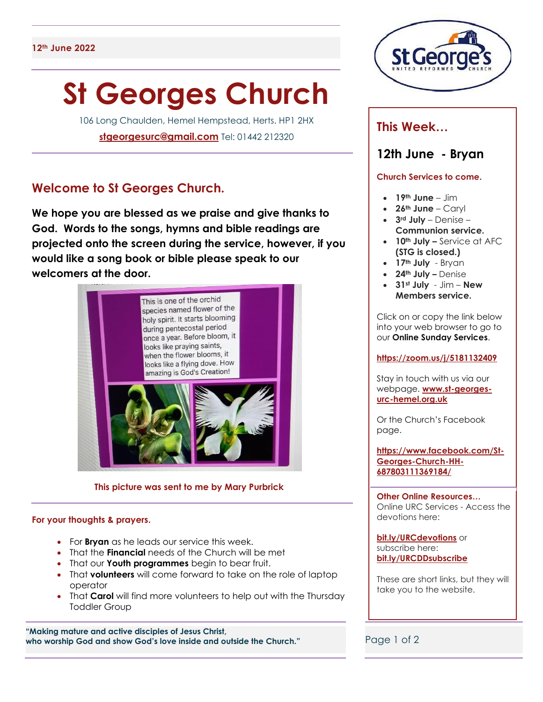# **St Georges Church**

106 Long Chaulden, Hemel Hempstead, Herts. HP1 2HX **[s](mailto:stgeorgesurc@gmail.com)[tgeorgesurc@gmail.com](mailto:stgeorgesurc@gmail.com)** Tel: 01442 212320

# **Welcome to St Georges Church.**

**We hope you are blessed as we praise and give thanks to God. Words to the songs, hymns and bible readings are projected onto the screen during the service, however, if you would like a song book or bible please speak to our welcomers at the door.**



**This picture was sent to me by Mary Purbrick**

### **For your thoughts & prayers.**

- For **Bryan** as he leads our service this week.
- That the **Financial** needs of the Church will be met
- That our **Youth programmes** begin to bear fruit.
- That **volunteers** will come forward to take on the role of laptop operator
- That **Carol** will find more volunteers to help out with the Thursday Toddler Group

**"Making mature and active disciples of Jesus Christ, who worship God and show God's love inside and outside the Church."** Page 1 of 2



# **This Week…**

# **12th June - Bryan**

#### **Church Services to come.**

- $\bullet$  **19<sup>th</sup> June**  $\lim$
- **26th June** Caryl
- **3rd July** Denise **Communion service.**
- **10th July –** Service at AFC **(STG is closed.)**
- **17th July**  Bryan
- **24th July –** Denise
- **31st July**  Jim **New Members service.**

Click on or copy the link below into your web browser to go to our **Online Sunday Services**.

#### **<https://zoom.us/j/5181132409>**

Stay in touch with us via our webpage. **[www.st-georges](http://www.st-georges-urc-hemel.org.uk/)[urc-hemel.org.uk](http://www.st-georges-urc-hemel.org.uk/)**

Or the Church's Facebook page.

**[https://www.facebook.com/St-](https://www.facebook.com/St-Georges-Church-HH-687803111369184/)[Georges-Church-HH-](https://www.facebook.com/St-Georges-Church-HH-687803111369184/)[687803111369184/](https://www.facebook.com/St-Georges-Church-HH-687803111369184/)**

**[bit.ly/URCdevotions](http://bit.ly/URCdevotions)** or subscribe here: **[bit.ly/URCDDsubscribe](http://bit.ly/URCDDsubscribe)**

These are short links, but they will take you to the website.

**Other Online Resources…** Online URC Services - Access the devotions here: